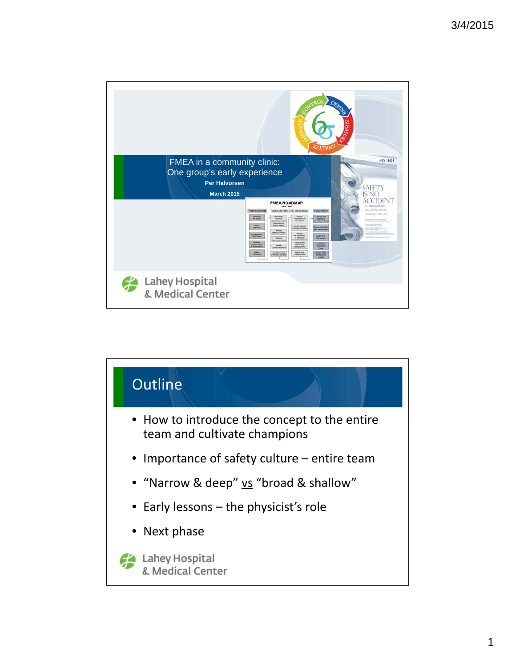

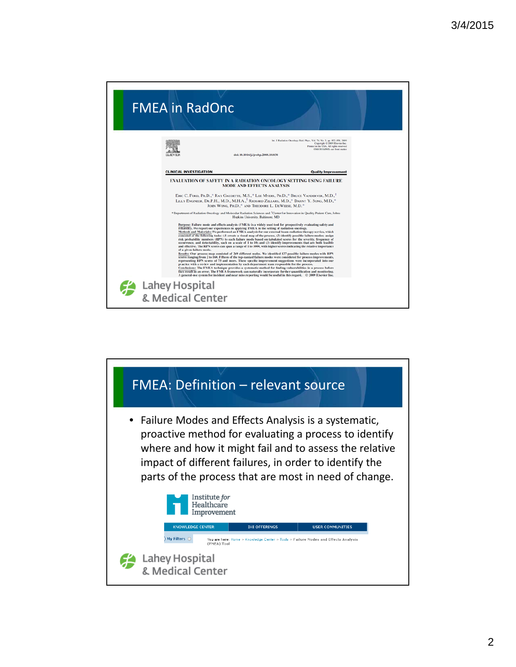

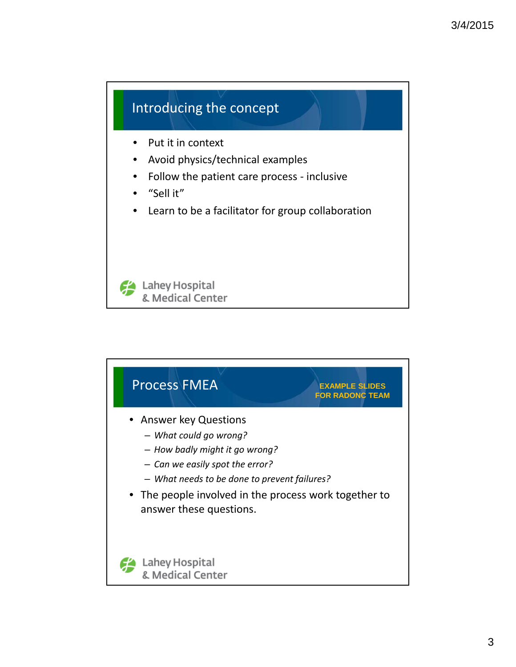

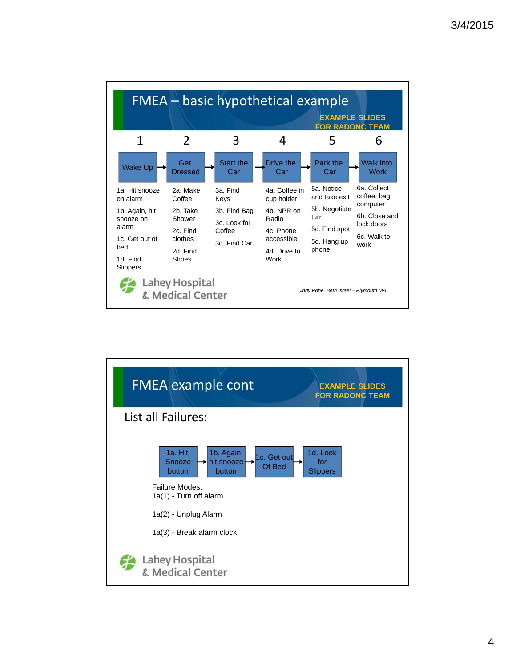|                                    |                                    | FMEA – basic hypothetical example |                             | <b>EXAMPLE SLIDES</b><br><b>FOR RADONC T</b> |                                         |
|------------------------------------|------------------------------------|-----------------------------------|-----------------------------|----------------------------------------------|-----------------------------------------|
| 1                                  | 2                                  | 3                                 | 4                           | 5                                            | 6                                       |
| <b>Wake Up</b>                     | Get<br><b>Dressed</b>              | Start the<br>Car                  | Drive the<br>Car            | Park the<br>Car                              | <b>Walk into</b><br><b>Work</b>         |
| 1a. Hit snooze<br>on alarm         | 2a. Make<br>Coffee                 | 3a. Find<br>Keys                  | 4a. Coffee in<br>cup holder | 5a. Notice<br>and take exit                  | 6a. Collect<br>coffee, bag,             |
| 1b. Again, hit<br>snooze on        | 2b. Take<br>Shower                 | 3b. Find Bag<br>3c. Look for      | 4h. NPR on<br>Radio         | 5b. Negotiate<br>turn                        | computer<br>6b. Close and<br>lock doors |
| alarm<br>1c. Get out of            | 2c. Find<br>clothes                | Coffee<br>3d. Find Car            | 4c. Phone<br>accessible     | 5c. Find spot<br>5d. Hang up                 | 6c. Walk to<br>work                     |
| bed<br>1d. Find<br><b>Slippers</b> | 2d. Find<br>Shoes                  |                                   | 4d. Drive to<br>Work        | phone                                        |                                         |
|                                    | Lahey Hospital<br>& Medical Center |                                   |                             | Cindy Pope, Beth Israel - Plymouth MA        |                                         |

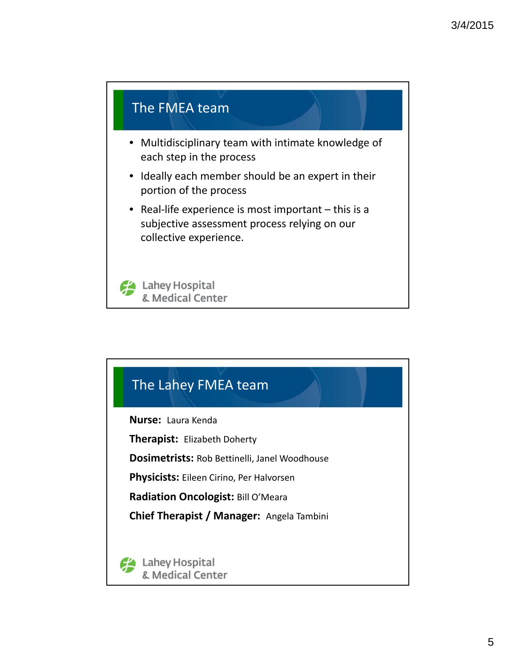

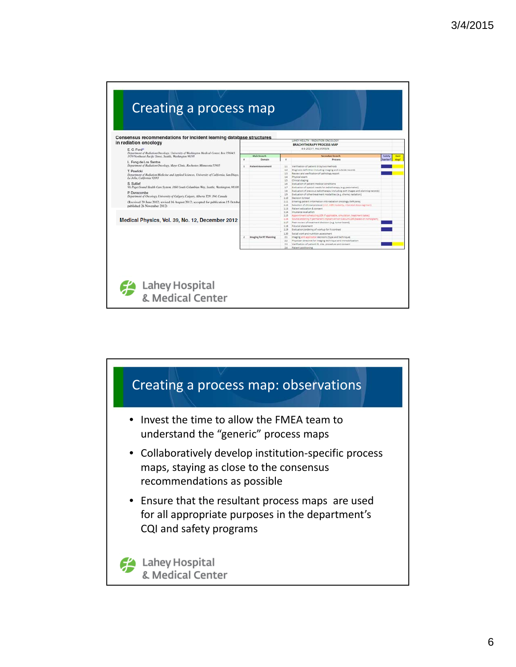

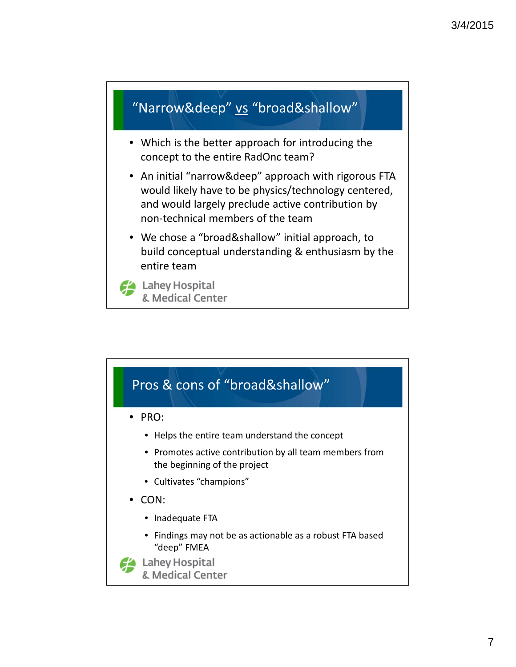

![](_page_6_Figure_2.jpeg)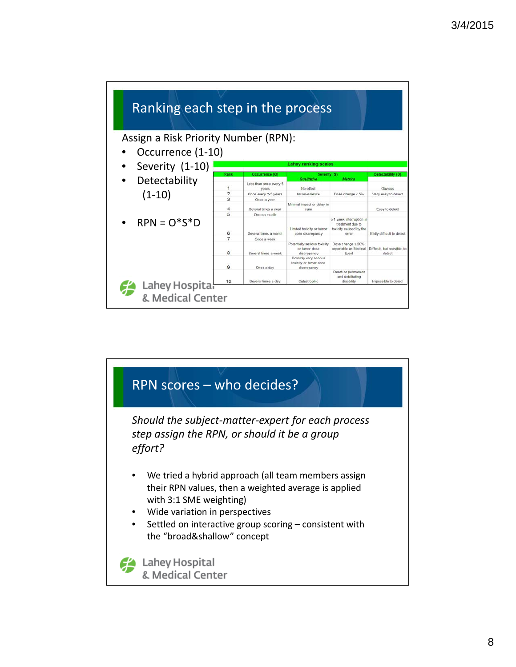![](_page_7_Figure_1.jpeg)

![](_page_7_Figure_2.jpeg)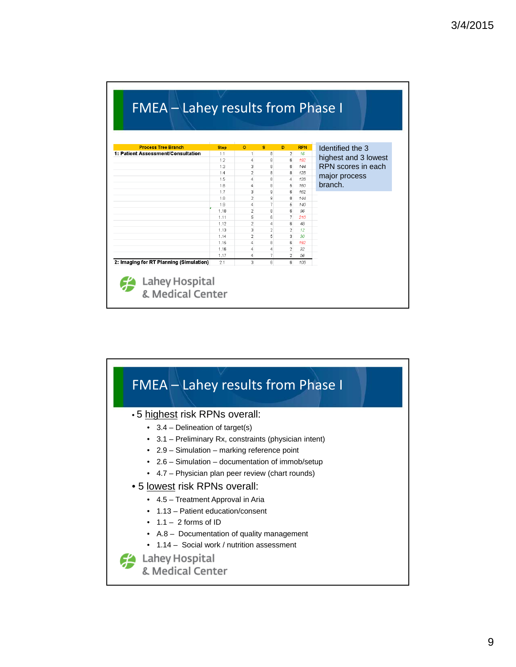| <b>Process Tree Branch</b>              | <b>Step</b> | $\circ$             | s.             | D              | <b>RPN</b> | Identified the 3     |
|-----------------------------------------|-------------|---------------------|----------------|----------------|------------|----------------------|
| 1: Patient Assessment/Consultation      | 11          | $\mathbf{1}$        | R              | $\overline{2}$ | 16         |                      |
|                                         | 1.2         | 4                   | 8              | 6              | 192        | highest and 3 lowest |
|                                         | 1.3         | 3                   | 8              | 6              | 144        | RPN scores in each   |
|                                         | 1.4         | $\overline{2}$      | 8              | 8              | 128        | major process        |
|                                         | 1.5         | $\overline{4}$      | 8              | $\overline{4}$ | 128        | branch.              |
|                                         | 1.6         | $\overline{4}$<br>ă | 8              | 5              | 160<br>162 |                      |
|                                         | 1.7<br>18   | $\overline{2}$      | 9<br>9         | ß.<br>R        | 144        |                      |
|                                         | 1.9         | 4                   | $\overline{7}$ | 5              | 140        |                      |
|                                         | 1.10        | $\overline{2}$      | 8              | 8              | 96         |                      |
|                                         | 1.11        | 5                   | 6              | $\overline{7}$ | 210        |                      |
|                                         | 1.12        | $\overline{2}$      | 4              | 6              | 48         |                      |
|                                         | 1.13        | 3                   | $\overline{2}$ | $\overline{2}$ | 12         |                      |
|                                         | 1.14        | $\overline{2}$      | 5              | 3              | 30         |                      |
|                                         | 1.15        | 4                   | 8              | 6              | 192        |                      |
|                                         | 1.16        | 4                   | 4              | $\overline{2}$ | 32         |                      |
|                                         | 1.17        | 4                   | $\overline{t}$ | $\overline{2}$ | 56         |                      |
| 2: Imaging for RT Planning (Simulation) | 2.1         | a.                  | Ŕ.             | Ŕ              | 108        |                      |

![](_page_8_Figure_2.jpeg)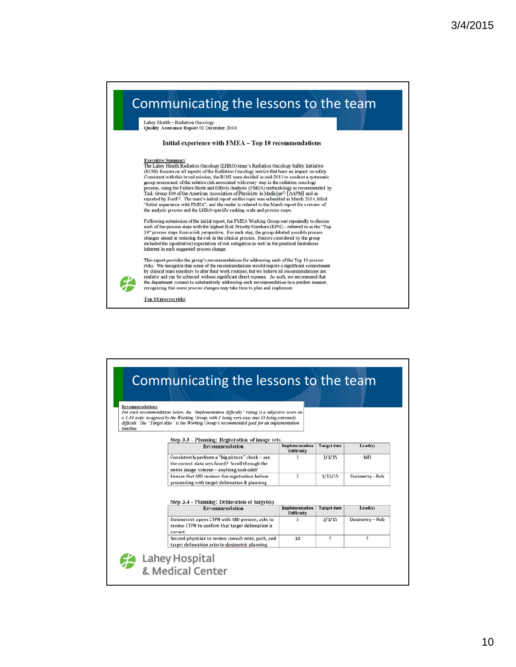## Communicating the lessons to the team

**Lahey Health – Radiation Oncology<br>Quality Assurance Report 01 December 2014** 

## Initial experience with FMEA - Top 10 recommendations

**Executive Summary**<br>The Labey Health Radiation Oncology (LHRO) team's Radiation Oncology Safety Initiative<br>(ROSI) focuses on all aspects of the Radiation Oncology service that have an impact on safety.<br>Consistent with thi

Following submission of the initial report, the FMEA Working Group met repeatedly to discuss each of the process steps with the highest Risk Priority Numbers (RPN) – referred to as the "Top 10" process steps from a risk p included the (qualitative) expectation of risk mitigation as well as the practical limitations inherent in each suggested process change.

This report provides the group's recommendations for addressing each of the Top  $10\,\mathrm{process}$ risks. We recognize that some of the recommendations would require a significant commitment<br>by clinical team members to alter their work routines, but we believe all recommendations are  $\,$  realistic and can be achieved without significant direct expense. As such, we recommend that the department commit to substantively addressing each recommendation in a prudent manner, recognizing that some process changes may take time to plan and implement.

Top 10 process risks

| <b>Recommendations</b> |                                                                                                                                                                                                                                                                                            |                                     |                    |                    |  |
|------------------------|--------------------------------------------------------------------------------------------------------------------------------------------------------------------------------------------------------------------------------------------------------------------------------------------|-------------------------------------|--------------------|--------------------|--|
| timeline.              | For each recommendation below, the "Implementation difficulty" rating is a subjective score on<br>a 1-10 scale as agreed by the Working Group, with 1 being very easy and 10 being extremely<br>difficult. The "Target date" is the Working Group's recommended goal for an implementation |                                     |                    |                    |  |
|                        | Step 3.3 - Planning: Registration of image sets.<br>Recommendation                                                                                                                                                                                                                         | <b>Implementation</b>               | <b>Target</b> date | Lead(s)            |  |
|                        |                                                                                                                                                                                                                                                                                            | <b>Difficulty</b>                   |                    |                    |  |
|                        | Consistently perform a "big picture" check - are<br>the correct data sets fused? Scroll through the<br>entire image volume - anything look odd?                                                                                                                                            | 1                                   | 1/1/15             | <b>MD</b>          |  |
|                        | Ensure that MD reviews the registration before<br>proceeding with target delineation & planning                                                                                                                                                                                            | 3                                   | 1/15/15            | Dosimetry - Rob    |  |
|                        | Step 3.4 – Planning: Delineation of target(s).                                                                                                                                                                                                                                             |                                     |                    |                    |  |
|                        | <b>Recommendation</b>                                                                                                                                                                                                                                                                      | Implementation<br><b>Difficulty</b> | <b>Target date</b> | $\textbf{Lead}(s)$ |  |
|                        | Dosimetrist opens CTPN with MD present, asks to<br>review CTPN to confirm that target delineation is                                                                                                                                                                                       | 3                                   | 2/1/15             | Dosimetry - Rob    |  |
|                        | correct.                                                                                                                                                                                                                                                                                   | 10                                  | 2                  | 7                  |  |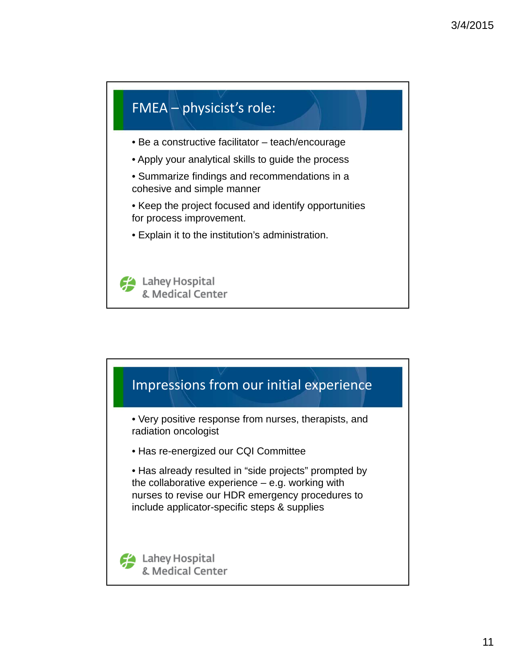![](_page_10_Figure_1.jpeg)

![](_page_10_Figure_2.jpeg)